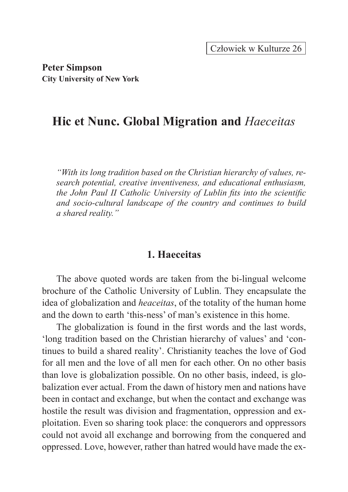**Peter Simpson City University of New York**

# **Hic et Nunc. Global Migration and** *Haeceitas*

*"With its long tradition based on the Christian hierarchy of values, research potential, creative inventiveness, and educational enthusiasm, the John Paul II Catholic University of Lublin fits into the scientific and socio-cultural landscape of the country and continues to build a shared reality."*

## **1. Haeceitas**

The above quoted words are taken from the bi-lingual welcome brochure of the Catholic University of Lublin. They encapsulate the idea of globalization and *heaceitas*, of the totality of the human home and the down to earth 'this-ness' of man's existence in this home.

The globalization is found in the first words and the last words, 'long tradition based on the Christian hierarchy of values' and 'continues to build a shared reality'. Christianity teaches the love of God for all men and the love of all men for each other. On no other basis than love is globalization possible. On no other basis, indeed, is globalization ever actual. From the dawn of history men and nations have been in contact and exchange, but when the contact and exchange was hostile the result was division and fragmentation, oppression and exploitation. Even so sharing took place: the conquerors and oppressors could not avoid all exchange and borrowing from the conquered and oppressed. Love, however, rather than hatred would have made the ex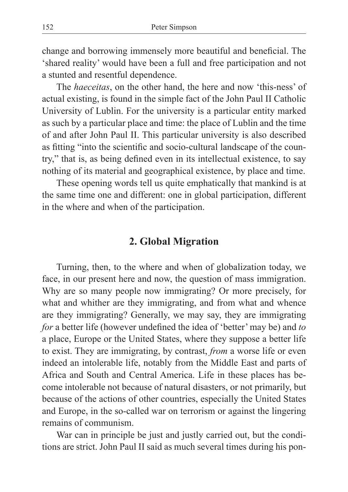change and borrowing immensely more beautiful and beneficial. The 'shared reality' would have been a full and free participation and not a stunted and resentful dependence.

The *haeceitas*, on the other hand, the here and now 'this-ness' of actual existing, is found in the simple fact of the John Paul II Catholic University of Lublin. For the university is a particular entity marked as such by a particular place and time: the place of Lublin and the time of and after John Paul II. This particular university is also described as fitting "into the scientific and socio-cultural landscape of the country," that is, as being defined even in its intellectual existence, to say nothing of its material and geographical existence, by place and time.

These opening words tell us quite emphatically that mankind is at the same time one and different: one in global participation, different in the where and when of the participation.

### **2. Global Migration**

Turning, then, to the where and when of globalization today, we face, in our present here and now, the question of mass immigration. Why are so many people now immigrating? Or more precisely, for what and whither are they immigrating, and from what and whence are they immigrating? Generally, we may say, they are immigrating *for* a better life (however undefined the idea of 'better' may be) and *to* a place, Europe or the United States, where they suppose a better life to exist. They are immigrating, by contrast, *from* a worse life or even indeed an intolerable life, notably from the Middle East and parts of Africa and South and Central America. Life in these places has become intolerable not because of natural disasters, or not primarily, but because of the actions of other countries, especially the United States and Europe, in the so-called war on terrorism or against the lingering remains of communism.

War can in principle be just and justly carried out, but the conditions are strict. John Paul II said as much several times during his pon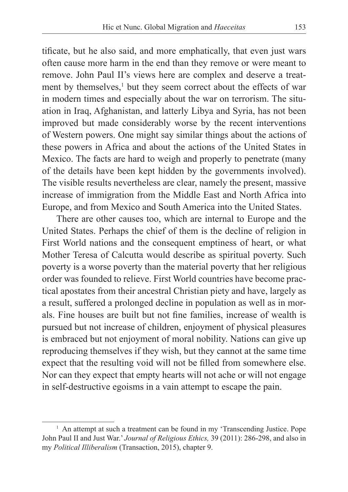tificate, but he also said, and more emphatically, that even just wars often cause more harm in the end than they remove or were meant to remove. John Paul II's views here are complex and deserve a treatment by themselves,<sup>1</sup> but they seem correct about the effects of war in modern times and especially about the war on terrorism. The situation in Iraq, Afghanistan, and latterly Libya and Syria, has not been improved but made considerably worse by the recent interventions of Western powers. One might say similar things about the actions of these powers in Africa and about the actions of the United States in Mexico. The facts are hard to weigh and properly to penetrate (many of the details have been kept hidden by the governments involved). The visible results nevertheless are clear, namely the present, massive increase of immigration from the Middle East and North Africa into Europe, and from Mexico and South America into the United States.

There are other causes too, which are internal to Europe and the United States. Perhaps the chief of them is the decline of religion in First World nations and the consequent emptiness of heart, or what Mother Teresa of Calcutta would describe as spiritual poverty. Such poverty is a worse poverty than the material poverty that her religious order was founded to relieve. First World countries have become practical apostates from their ancestral Christian piety and have, largely as a result, suffered a prolonged decline in population as well as in morals. Fine houses are built but not fine families, increase of wealth is pursued but not increase of children, enjoyment of physical pleasures is embraced but not enjoyment of moral nobility. Nations can give up reproducing themselves if they wish, but they cannot at the same time expect that the resulting void will not be filled from somewhere else. Nor can they expect that empty hearts will not ache or will not engage in self-destructive egoisms in a vain attempt to escape the pain.

<sup>&</sup>lt;sup>1</sup> An attempt at such a treatment can be found in my 'Transcending Justice. Pope John Paul II and Just War.' *Journal of Religious Ethics,* 39 (2011): 286-298, and also in my *Political Illiberalism* (Transaction, 2015), chapter 9.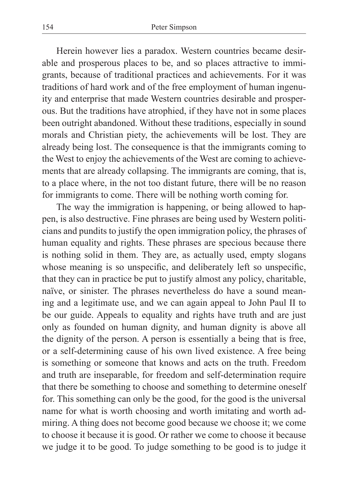Herein however lies a paradox. Western countries became desirable and prosperous places to be, and so places attractive to immigrants, because of traditional practices and achievements. For it was traditions of hard work and of the free employment of human ingenuity and enterprise that made Western countries desirable and prosperous. But the traditions have atrophied, if they have not in some places been outright abandoned. Without these traditions, especially in sound morals and Christian piety, the achievements will be lost. They are already being lost. The consequence is that the immigrants coming to the West to enjoy the achievements of the West are coming to achievements that are already collapsing. The immigrants are coming, that is, to a place where, in the not too distant future, there will be no reason for immigrants to come. There will be nothing worth coming for.

The way the immigration is happening, or being allowed to happen, is also destructive. Fine phrases are being used by Western politicians and pundits to justify the open immigration policy, the phrases of human equality and rights. These phrases are specious because there is nothing solid in them. They are, as actually used, empty slogans whose meaning is so unspecific, and deliberately left so unspecific, that they can in practice be put to justify almost any policy, charitable, naïve, or sinister. The phrases nevertheless do have a sound meaning and a legitimate use, and we can again appeal to John Paul II to be our guide. Appeals to equality and rights have truth and are just only as founded on human dignity, and human dignity is above all the dignity of the person. A person is essentially a being that is free, or a self-determining cause of his own lived existence. A free being is something or someone that knows and acts on the truth. Freedom and truth are inseparable, for freedom and self-determination require that there be something to choose and something to determine oneself for. This something can only be the good, for the good is the universal name for what is worth choosing and worth imitating and worth admiring. A thing does not become good because we choose it; we come to choose it because it is good. Or rather we come to choose it because we judge it to be good. To judge something to be good is to judge it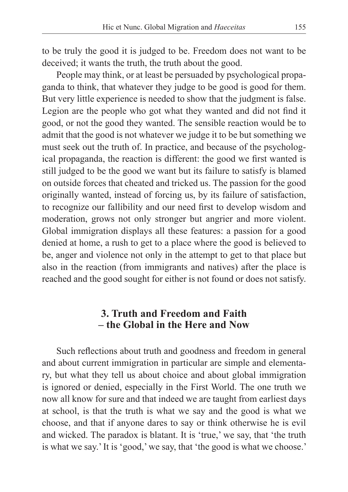to be truly the good it is judged to be. Freedom does not want to be deceived; it wants the truth, the truth about the good.

People may think, or at least be persuaded by psychological propaganda to think, that whatever they judge to be good is good for them. But very little experience is needed to show that the judgment is false. Legion are the people who got what they wanted and did not find it good, or not the good they wanted. The sensible reaction would be to admit that the good is not whatever we judge it to be but something we must seek out the truth of. In practice, and because of the psychological propaganda, the reaction is different: the good we first wanted is still judged to be the good we want but its failure to satisfy is blamed on outside forces that cheated and tricked us. The passion for the good originally wanted, instead of forcing us, by its failure of satisfaction, to recognize our fallibility and our need first to develop wisdom and moderation, grows not only stronger but angrier and more violent. Global immigration displays all these features: a passion for a good denied at home, a rush to get to a place where the good is believed to be, anger and violence not only in the attempt to get to that place but also in the reaction (from immigrants and natives) after the place is reached and the good sought for either is not found or does not satisfy.

## **3. Truth and Freedom and Faith – the Global in the Here and Now**

Such reflections about truth and goodness and freedom in general and about current immigration in particular are simple and elementary, but what they tell us about choice and about global immigration is ignored or denied, especially in the First World. The one truth we now all know for sure and that indeed we are taught from earliest days at school, is that the truth is what we say and the good is what we choose, and that if anyone dares to say or think otherwise he is evil and wicked. The paradox is blatant. It is 'true,' we say, that 'the truth is what we say.' It is 'good,' we say, that 'the good is what we choose.'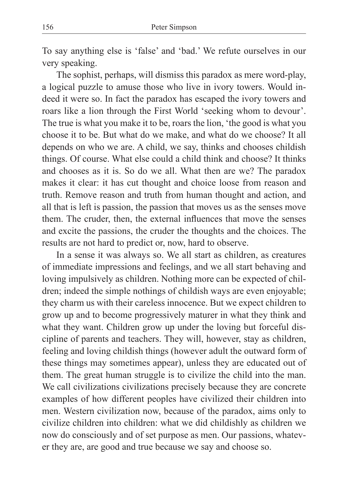To say anything else is 'false' and 'bad.' We refute ourselves in our very speaking.

The sophist, perhaps, will dismiss this paradox as mere word-play, a logical puzzle to amuse those who live in ivory towers. Would indeed it were so. In fact the paradox has escaped the ivory towers and roars like a lion through the First World 'seeking whom to devour'. The true is what you make it to be, roars the lion, 'the good is what you choose it to be. But what do we make, and what do we choose? It all depends on who we are. A child, we say, thinks and chooses childish things. Of course. What else could a child think and choose? It thinks and chooses as it is. So do we all. What then are we? The paradox makes it clear: it has cut thought and choice loose from reason and truth. Remove reason and truth from human thought and action, and all that is left is passion, the passion that moves us as the senses move them. The cruder, then, the external influences that move the senses and excite the passions, the cruder the thoughts and the choices. The results are not hard to predict or, now, hard to observe.

In a sense it was always so. We all start as children, as creatures of immediate impressions and feelings, and we all start behaving and loving impulsively as children. Nothing more can be expected of children; indeed the simple nothings of childish ways are even enjoyable; they charm us with their careless innocence. But we expect children to grow up and to become progressively maturer in what they think and what they want. Children grow up under the loving but forceful discipline of parents and teachers. They will, however, stay as children, feeling and loving childish things (however adult the outward form of these things may sometimes appear), unless they are educated out of them. The great human struggle is to civilize the child into the man. We call civilizations civilizations precisely because they are concrete examples of how different peoples have civilized their children into men. Western civilization now, because of the paradox, aims only to civilize children into children: what we did childishly as children we now do consciously and of set purpose as men. Our passions, whatever they are, are good and true because we say and choose so.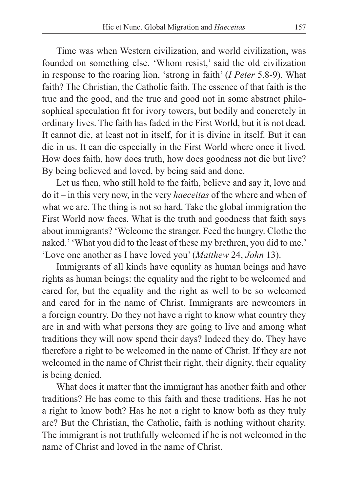Time was when Western civilization, and world civilization, was founded on something else. 'Whom resist,' said the old civilization in response to the roaring lion, 'strong in faith' (*I Peter* 5.8-9). What faith? The Christian, the Catholic faith. The essence of that faith is the true and the good, and the true and good not in some abstract philosophical speculation fit for ivory towers, but bodily and concretely in ordinary lives. The faith has faded in the First World, but it is not dead. It cannot die, at least not in itself, for it is divine in itself. But it can die in us. It can die especially in the First World where once it lived. How does faith, how does truth, how does goodness not die but live? By being believed and loved, by being said and done.

Let us then, who still hold to the faith, believe and say it, love and do it – in this very now, in the very *haeceitas* of the where and when of what we are. The thing is not so hard. Take the global immigration the First World now faces. What is the truth and goodness that faith says about immigrants? 'Welcome the stranger. Feed the hungry. Clothe the naked.' 'What you did to the least of these my brethren, you did to me.' 'Love one another as I have loved you' (*Matthew* 24, *John* 13).

Immigrants of all kinds have equality as human beings and have rights as human beings: the equality and the right to be welcomed and cared for, but the equality and the right as well to be so welcomed and cared for in the name of Christ. Immigrants are newcomers in a foreign country. Do they not have a right to know what country they are in and with what persons they are going to live and among what traditions they will now spend their days? Indeed they do. They have therefore a right to be welcomed in the name of Christ. If they are not welcomed in the name of Christ their right, their dignity, their equality is being denied.

What does it matter that the immigrant has another faith and other traditions? He has come to this faith and these traditions. Has he not a right to know both? Has he not a right to know both as they truly are? But the Christian, the Catholic, faith is nothing without charity. The immigrant is not truthfully welcomed if he is not welcomed in the name of Christ and loved in the name of Christ.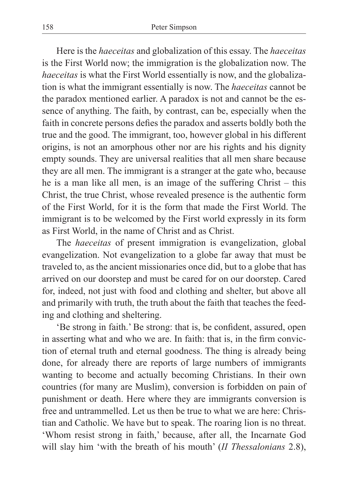Here is the *haeceitas* and globalization of this essay. The *haeceitas* is the First World now; the immigration is the globalization now. The *haeceitas* is what the First World essentially is now, and the globalization is what the immigrant essentially is now. The *haeceitas* cannot be the paradox mentioned earlier. A paradox is not and cannot be the essence of anything. The faith, by contrast, can be, especially when the faith in concrete persons defies the paradox and asserts boldly both the true and the good. The immigrant, too, however global in his different origins, is not an amorphous other nor are his rights and his dignity empty sounds. They are universal realities that all men share because they are all men. The immigrant is a stranger at the gate who, because he is a man like all men, is an image of the suffering Christ – this Christ, the true Christ, whose revealed presence is the authentic form of the First World, for it is the form that made the First World. The immigrant is to be welcomed by the First world expressly in its form as First World, in the name of Christ and as Christ.

The *haeceitas* of present immigration is evangelization, global evangelization. Not evangelization to a globe far away that must be traveled to, as the ancient missionaries once did, but to a globe that has arrived on our doorstep and must be cared for on our doorstep. Cared for, indeed, not just with food and clothing and shelter, but above all and primarily with truth, the truth about the faith that teaches the feeding and clothing and sheltering.

'Be strong in faith.' Be strong: that is, be confident, assured, open in asserting what and who we are. In faith: that is, in the firm conviction of eternal truth and eternal goodness. The thing is already being done, for already there are reports of large numbers of immigrants wanting to become and actually becoming Christians. In their own countries (for many are Muslim), conversion is forbidden on pain of punishment or death. Here where they are immigrants conversion is free and untrammelled. Let us then be true to what we are here: Christian and Catholic. We have but to speak. The roaring lion is no threat. 'Whom resist strong in faith,' because, after all, the Incarnate God will slay him 'with the breath of his mouth' (*II Thessalonians* 2.8),